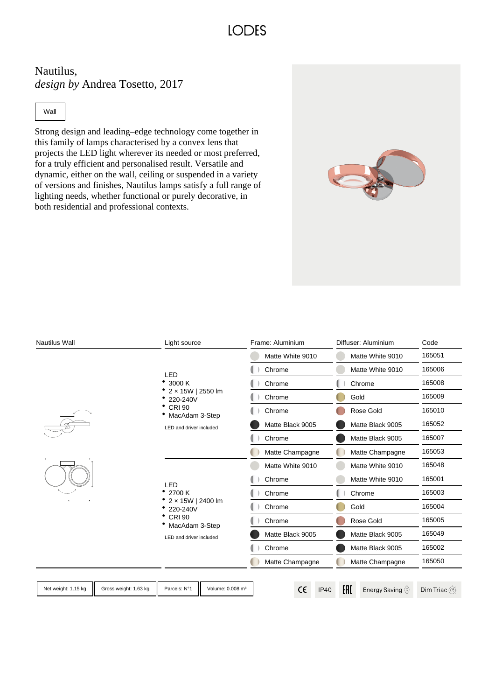## **LODES**

Nautilus, *design by* Andrea Tosetto, 2017

#### Wall

Strong design and leading–edge technology come together in this family of lamps characterised by a convex lens that projects the LED light wherever its needed or most preferred, for a truly efficient and personalised result. Versatile and dynamic, either on the wall, ceiling or suspended in a variety of versions and finishes, Nautilus lamps satisfy a full range of lighting needs, whether functional or purely decorative, in both residential and professional contexts.

| Nautilus Wall       |                       | Light source                                                                                                 |                              | Frame: Aluminium |            |             | Diffuser: Aluminium |                                   | Code          |
|---------------------|-----------------------|--------------------------------------------------------------------------------------------------------------|------------------------------|------------------|------------|-------------|---------------------|-----------------------------------|---------------|
|                     |                       |                                                                                                              |                              | Matte White 9010 |            |             | Matte White 9010    |                                   | 165051        |
|                     |                       | <b>LED</b><br>3000 K<br>2 x 15W   2550 lm<br>220-240V<br><b>CRI 90</b><br>MacAdam 3-Step                     |                              | Chrome           |            |             | Matte White 9010    | 165006                            |               |
|                     |                       |                                                                                                              |                              | Chrome           |            |             | Chrome              |                                   | 165008        |
|                     |                       |                                                                                                              |                              | Chrome           |            |             | Gold                | 165009                            |               |
|                     |                       |                                                                                                              |                              | Chrome           |            |             |                     | Rose Gold                         | 165010        |
|                     |                       | LED and driver included                                                                                      |                              | Matte Black 9005 |            |             |                     | Matte Black 9005                  | 165052        |
|                     |                       |                                                                                                              |                              | Chrome           |            |             | Matte Black 9005    |                                   | 165007        |
|                     |                       |                                                                                                              |                              | Matte Champagne  |            |             | Matte Champagne     |                                   | 165053        |
|                     |                       | LED<br>2700 K<br>2 x 15W   2400 lm<br>220-240V<br><b>CRI 90</b><br>MacAdam 3-Step<br>LED and driver included |                              | Matte White 9010 |            |             | Matte White 9010    |                                   | 165048        |
|                     |                       |                                                                                                              |                              | Chrome           |            |             | Matte White 9010    |                                   | 165001        |
|                     |                       |                                                                                                              |                              | Chrome           |            |             | Chrome              |                                   | 165003        |
|                     |                       |                                                                                                              |                              | Chrome           |            |             | Gold                |                                   | 165004        |
|                     |                       |                                                                                                              |                              | Chrome           |            |             | Rose Gold           |                                   | 165005        |
|                     |                       |                                                                                                              |                              | Matte Black 9005 |            |             | Matte Black 9005    |                                   | 165049        |
|                     |                       |                                                                                                              |                              | Chrome           |            |             | Matte Black 9005    |                                   | 165002        |
|                     |                       |                                                                                                              |                              | Matte Champagne  |            |             | Matte Champagne     |                                   | 165050        |
| Net weight: 1.15 kg | Gross weight: 1.63 kg | Parcels: N°1                                                                                                 | Volume: 0.008 m <sup>3</sup> |                  | $\epsilon$ | <b>IP40</b> | H1                  | Energy Saving $\circledDownarrow$ | Dim Triac (@) |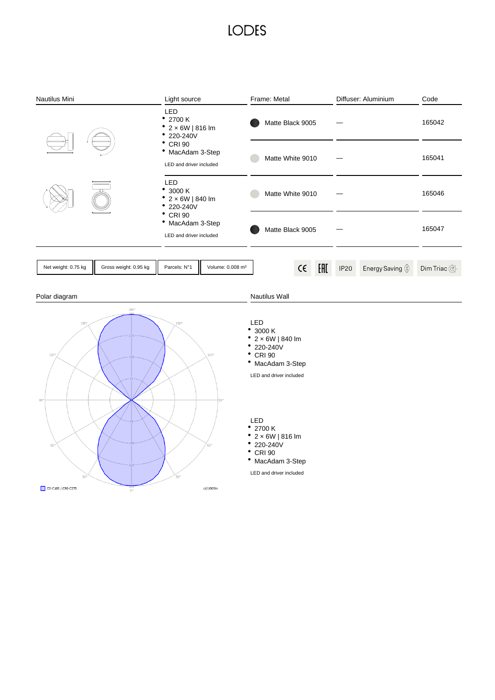## **LODES**